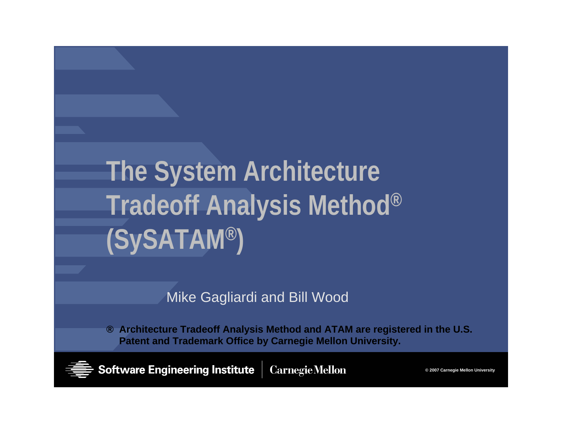# **The System Architecture Tradeoff Analysis Method® (SySATAM®)**

### Mike Gagliardi and Bill Wood

**® Architecture Tradeoff Analysis Method and ATAM are registered in the U.S. Patent and Trademark Office by Carnegie Mellon University.**



**Software Engineering Institute CarnegieMellon**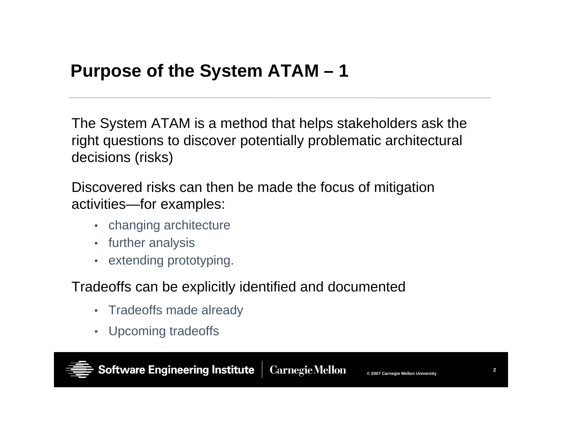### **Purpose of the System ATAM – 1**

The System ATAM is a method that helps stakeholders ask the right questions to discover potentially problematic architectural decisions (risks)

Discovered risks can then be made the focus of mitigation activities—for examples:

- changing architecture
- further analysis
- •extending prototyping.

Tradeoffs can be explicitly identified and documented

- Tradeoffs made already
- $\bullet$ Upcoming tradeoffs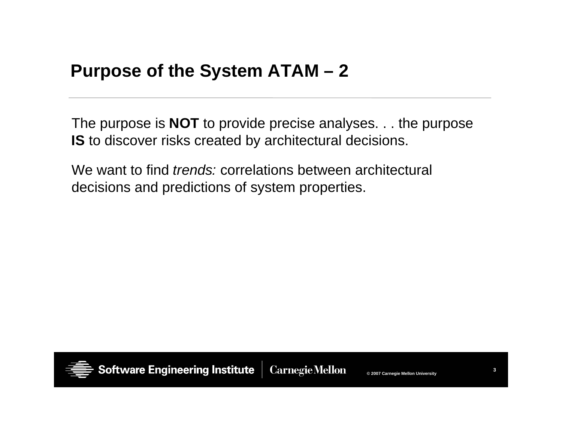### **Purpose of the System ATAM – 2**

The purpose is **NOT** to provide precise analyses. . . the purpose **IS** to discover risks created by architectural decisions.

We want to find *trends:* correlations between architectural decisions and predictions of system properties.

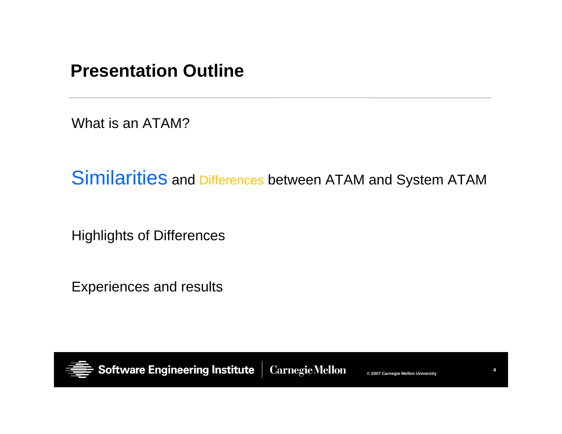### **Presentation Outline**

What is an ATAM?

### Similarities and Differences between ATAM and System ATAM

Highlights of Differences

Experiences and results

**Software Engineering Institute CarnegieMellon**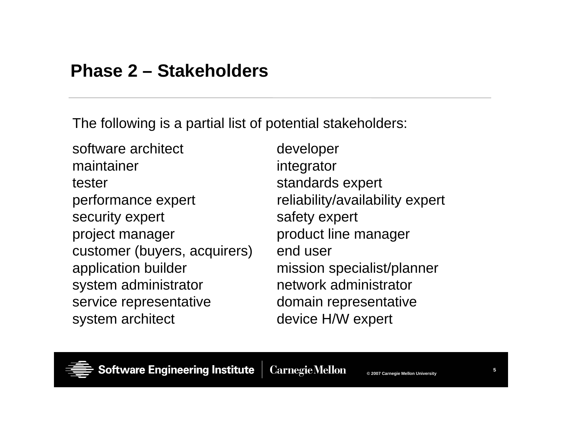### **Phase 2 – Stakeholders**

The following is a partial list of potential stakeholders:

software architect developer maintainertestersecurity expert safety expert project manager product line manager customer (buyers, acquirers) end user application builder mission specialist/planner system administrator **network administrator** service representative domain representative system architect device H/W expert

 integrator standards expert performance expert reliability/availability expert

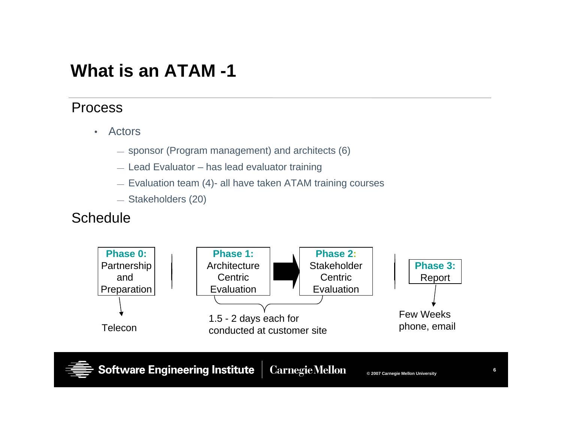### Process

- • Actors
	- sponsor (Program management) and architects (6)
	- Lead Evaluator has lead evaluator training
	- $-$  Evaluation team (4)- all have taken ATAM training courses
	- Stakeholders (20)

### **Schedule**

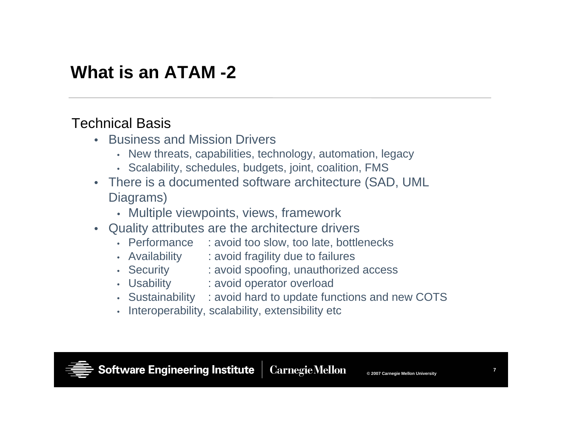#### Technical Basis

- Business and Mission Drivers
	- New threats, capabilities, technology, automation, legacy
	- Scalability, schedules, budgets, joint, coalition, FMS
- There is a documented software architecture (SAD, UML Diagrams)
	- Multiple viewpoints, views, framework
- Quality attributes are the architecture drivers
	- Performance : avoid too slow, too late, bottlenecks
	- Availability : avoid fragility due to failures
	- Security : avoid spoofing, unauthorized access

•

- Usability : avoid operator overload
- •
- Sustainability : avoid hard to update functions and new COTS
- •Interoperability, scalability, extensibility etc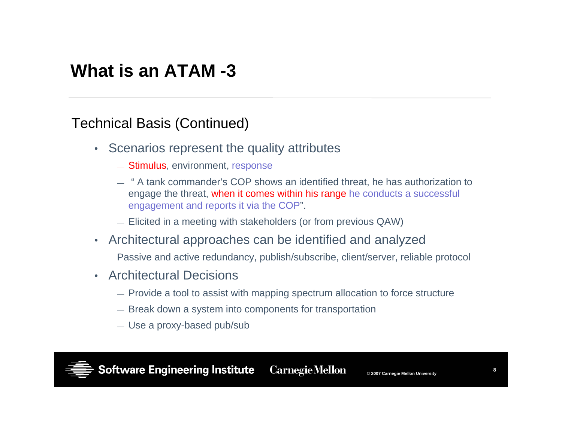### Technical Basis (Continued)

- • Scenarios represent the quality attributes
	- Stimulus, environment, response
	- " A tank commander's COP shows an identified threat, he has authorization to engage the threat, when it comes within his range he conducts a successful engagement and reports it via the COP".
	- $-$  Elicited in a meeting with stakeholders (or from previous QAW)
- $\bullet$ Architectural approaches can be identified and analyzed

Passive and active redundancy, publish/subscribe, client/server, reliable protocol

- Architectural Decisions
	- $-$  Provide a tool to assist with mapping spectrum allocation to force structure
	- $\hspace{0.1mm}$  Break down a system into components for transportation
	- Use a proxy-based pub/sub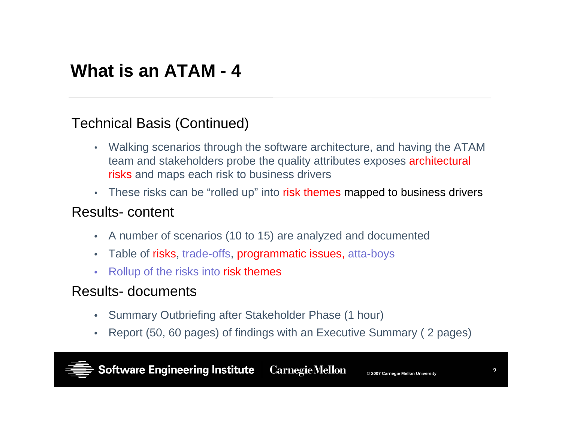#### Technical Basis (Continued)

- $\bullet$  Walking scenarios through the software architecture, and having the ATAM team and stakeholders probe the quality attributes exposes architectural risks and maps each risk to business drivers
- These risks can be "rolled up" into risk themes mapped to business drivers

#### Results- content

- $\bullet$ A number of scenarios (10 to 15) are analyzed and documented
- •Table of risks, trade-offs, programmatic issues, atta-boys
- $\bullet$ Rollup of the risks into risk themes

#### Results- documents

- $\bullet$ Summary Outbriefing after Stakeholder Phase (1 hour)
- •Report (50, 60 pages) of findings with an Executive Summary ( 2 pages)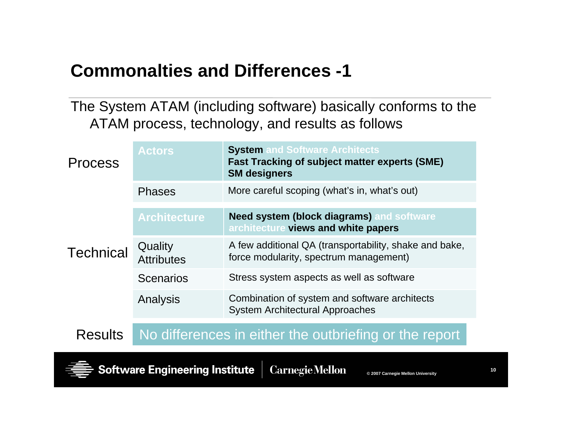# **Commonalties and Differences -1**

The System ATAM (including software) basically conforms to the ATAM process, technology, and results as follows

| <b>Process</b>   | <b>Actors</b>                                          | <b>System and Software Architects</b><br><b>Fast Tracking of subject matter experts (SME)</b><br><b>SM designers</b> |
|------------------|--------------------------------------------------------|----------------------------------------------------------------------------------------------------------------------|
|                  | <b>Phases</b>                                          | More careful scoping (what's in, what's out)                                                                         |
|                  | <b>Architecture</b>                                    | <b>Need system (block diagrams) and software</b><br>architecture views and white papers                              |
| <b>Technical</b> | Quality<br><b>Attributes</b>                           | A few additional QA (transportability, shake and bake,<br>force modularity, spectrum management)                     |
|                  | <b>Scenarios</b>                                       | Stress system aspects as well as software                                                                            |
|                  | Analysis                                               | Combination of system and software architects<br><b>System Architectural Approaches</b>                              |
| <b>Results</b>   | No differences in either the outbriefing or the report |                                                                                                                      |

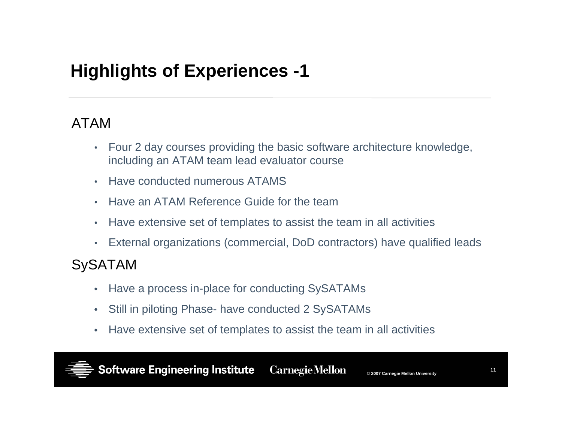### ATAM

- $\bullet$  Four 2 day courses providing the basic software architecture knowledge, including an ATAM team lead evaluator course
- •Have conducted numerous ATAMS
- •Have an ATAM Reference Guide for the team
- •Have extensive set of templates to assist the team in all activities
- •External organizations (commercial, DoD contractors) have qualified leads

### SySATAM

- •Have a process in-place for conducting SySATAMs
- •Still in piloting Phase- have conducted 2 SySATAMs
- •Have extensive set of templates to assist the team in all activities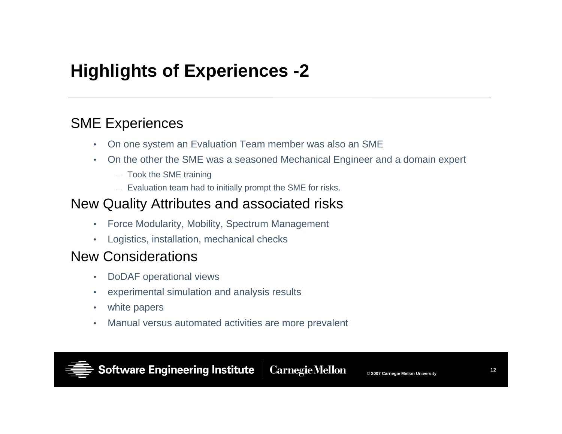### SME Experiences

- •On one system an Evaluation Team member was also an SME
- • On the other the SME was a seasoned Mechanical Engineer and a domain expert
	- Took the SME training
	- $-$  Evaluation team had to initially prompt the SME for risks.

### New Quality Attributes and associated risks

- •Force Modularity, Mobility, Spectrum Management
- •Logistics, installation, mechanical checks

### New Considerations

- •DoDAF operational views
- •experimental simulation and analysis results
- •white papers
- •Manual versus automated activities are more prevalent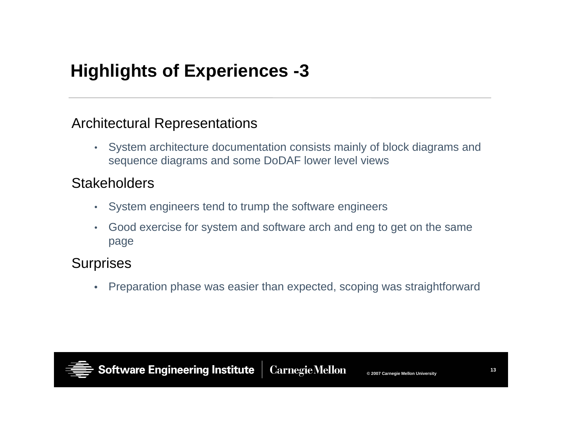#### Architectural Representations

 $\bullet$  System architecture documentation consists mainly of block diagrams and sequence diagrams and some DoDAF lower level views

### **Stakeholders**

- $\bullet$ System engineers tend to trump the software engineers
- • Good exercise for system and software arch and eng to get on the same page

### **Surprises**

•Preparation phase was easier than expected, scoping was straightforward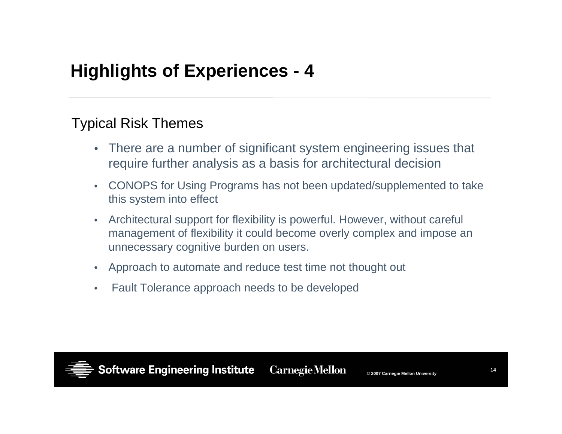### Typical Risk Themes

- There are a number of significant system engineering issues that require further analysis as a basis for architectural decision
- $\bullet$  CONOPS for Using Programs has not been updated/supplemented to take this system into effect
- $\bullet$  Architectural support for flexibility is powerful. However, without careful management of flexibility it could become overly complex and impose an unnecessary cognitive burden on users.
- •Approach to automate and reduce test time not thought out
- •Fault Tolerance approach needs to be developed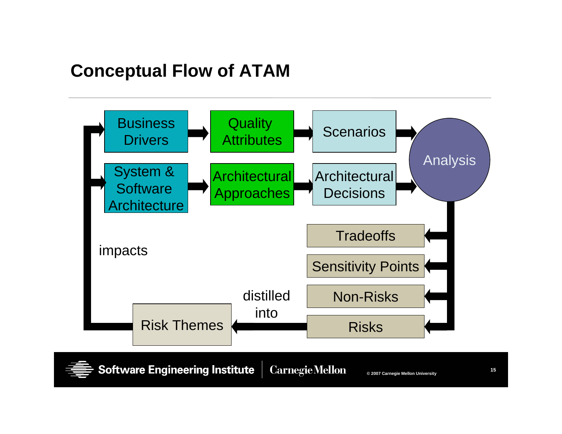# **Conceptual Flow of ATAM**



**Software Engineering Institute CarnegieMellon**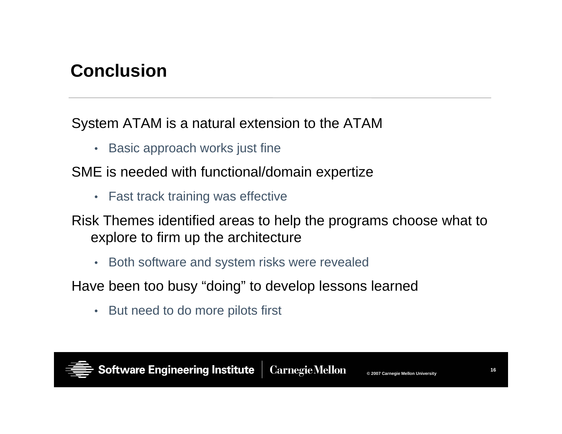# **Conclusion**

System ATAM is a natural extension to the ATAM

• Basic approach works just fine

SME is needed with functional/domain expertize

- Fast track training was effective
- Risk Themes identified areas to help the programs choose what to explore to firm up the architecture
	- •Both software and system risks were revealed

Have been too busy "doing" to develop lessons learned

• But need to do more pilots first